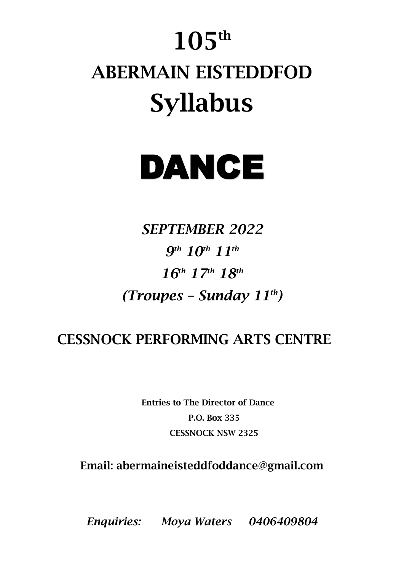# **105 th ABERMAIN EISTEDDFOD Syllabus**

# DANCE

*SEPTEMBER 2022 9 th 10th 11th 16th 17th 18th (Troupes – Sunday 11th)*

# **CESSNOCK PERFORMING ARTS CENTRE**

**Entries to The Director of Dance P.O. Box 335 CESSNOCK NSW 2325**

**Email: abermaineisteddfoddance@gmail.com**

*Enquiries: Moya Waters 0406409804*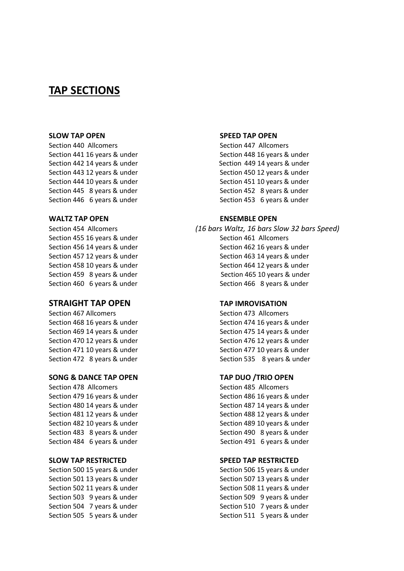# **TAP SECTIONS**

### **SLOW TAP OPEN SPEED TAP OPEN**

Section 440 Allcomers Section 447 Allcomers Section 441 16 years & under Section 448 16 years & under Section 442 14 years & under Section 449 14 years & under Section 443 12 years & under Section 450 12 years & under Section 444 10 years & under Section 451 10 years & under Section 445 8 years & under Section 452 8 years & under Section 446 6 years & under Section 453 6 years & under

# **STRAIGHT TAP OPEN TAP IMROVISATION**

Section 467 Allcomers Section 473 Allcomers

# **SONG & DANCE TAP OPEN TAP DUO /TRIO OPEN**

## **WALTZ TAP OPEN ENSEMBLE OPEN**

Section 454 Allcomers *(16 bars Waltz, 16 bars Slow 32 bars Speed)* Section 455 16 years & under Section 461 Allcomers Section 456 14 years & under Section 462 16 years & under Section 457 12 years & under Section 463 14 years & under Section 458 10 years & under Section 464 12 years & under Section 459 8 years & under Section 465 10 years & under Section 460 6 years & under Section 466 8 years & under

Section 468 16 years & under Section 474 16 years & under Section 469 14 years & under Section 475 14 years & under Section 470 12 years & under Section 476 12 years & under Section 471 10 years & under Section 477 10 years & under Section 472 8 years & under Section 535 8 years & under

Section 478 Allcomers Section 485 Allcomers Section 479 16 years & under Section 486 16 years & under Section 480 14 years & under Section 487 14 years & under Section 481 12 years & under Section 488 12 years & under Section 482 10 years & under Section 489 10 years & under Section 483 8 years & under Section 490 8 years & under Section 484 6 years & under Section 491 6 years & under

# **SLOW TAP RESTRICTED SPEED TAP RESTRICTED**

Section 500 15 years & under Section 506 15 years & under Section 501 13 years & under Section 507 13 years & under Section 502 11 years & under Section 508 11 years & under Section 503 9 years & under Section 509 9 years & under Section 504 7 years & under Section 510 7 years & under Section 505 5 years & under Section 511 5 years & under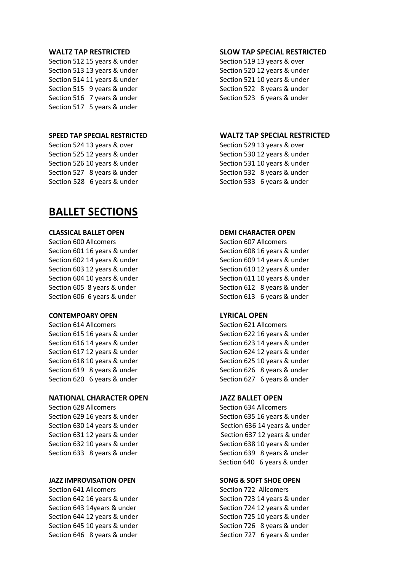Section 512 15 years & under Section 519 13 years & over Section 513 13 years & under Section 520 12 years & under Section 514 11 years & under Section 521 10 years & under Section 515 9 years & under Section 522 8 years & under Section 516 7 years & under Section 523 6 years & under Section 517 5 years & under

# **SPEED TAP SPECIAL RESTRICTED WALTZ TAP SPECIAL RESTRICTED**

Section 524 13 years & over Section 529 13 years & over Section 525 12 years & under Section 530 12 years & under Section 526 10 years & under Section 531 10 years & under Section 527 8 years & under Section 532 8 years & under Section 528 6 years & under Section 533 6 years & under

# **BALLET SECTIONS**

# **CLASSICAL BALLET OPEN DEMI CHARACTER OPEN**

# **CONTEMPOARY OPEN LYRICAL OPEN**

Section 614 Allcomers Section 621 Allcomers Section 621 Allcomers

# **NATIONAL CHARACTER OPEN JAZZ BALLET OPEN**

Section 628 Allcomers Section 634 Allcomers Section 634 Allcomers

# **JAZZ IMPROVISATION OPEN SONG & SOFT SHOE OPEN**

Section 641 Allcomers Section 722 Allcomers

# **WALTZ TAP RESTRICTED SLOW TAP SPECIAL RESTRICTED**

Section 600 Allcomers Section 607 Allcomers Section 607 Allcomers Section 601 16 years & under Section 608 16 years & under Section 602 14 years & under Section 609 14 years & under Section 603 12 years & under Section 610 12 years & under Section 604 10 years & under Section 611 10 years & under Section 605 8 years & under Section 612 8 years & under Section 606 6 years & under Section 613 6 years & under

Section 615 16 years & under Section 622 16 years & under Section 616 14 years & under Section 623 14 years & under Section 617 12 years & under Section 624 12 years & under Section 618 10 years & under Section 625 10 years & under Section 619 8 years & under Section 626 8 years & under Section 620 6 years & under Section 627 6 years & under

Section 629 16 years & under Section 635 16 years & under Section 630 14 years & under Section 636 14 years & under Section 631 12 years & under Section 637 12 years & under Section 632 10 years & under Section 638 10 years & under Section 633 8 years & under Section 639 8 years & under Section 640 6 years & under

Section 642 16 years & under Section 723 14 years & under Section 643 14years & under Section 724 12 years & under Section 644 12 years & under Section 725 10 years & under Section 645 10 years & under Section 726 8 years & under Section 646 8 years & under Section 727 6 years & under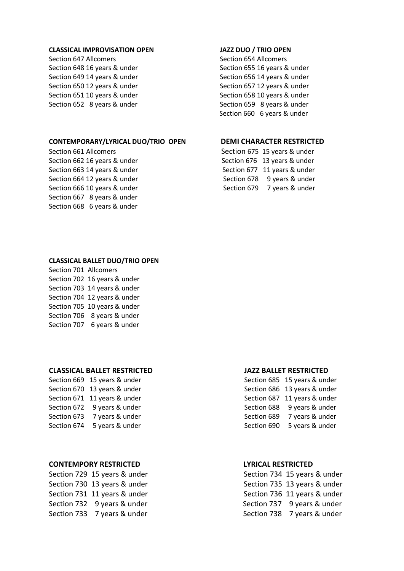# **CLASSICAL IMPROVISATION OPEN JAZZ DUO / TRIO OPEN**

Section 647 Allcomers Section 654 Allcomers Section 654 Allcomers

# **CONTEMPORARY/LYRICAL DUO/TRIO OPEN DEMI CHARACTER RESTRICTED**

Section 661 AllcomersSection 675 15 years & under Section 667 8 years & under Section 668 6 years & under

Section 648 16 years & under Section 655 16 years & under Section 649 14 years & under Section 656 14 years & under Section 650 12 years & under Section 657 12 years & under Section 651 10 years & under Section 658 10 years & under Section 652 8 years & under Section 659 8 years & under Section 660 6 years & under

Section 662 16 years & under Section 676 13 years & under Section 663 14 years & under Section 677 11 years & under Section 664 12 years & under Section 678 9 years & under Section 666 10 years & under Section 679 7 years & under

## **CLASSICAL BALLET DUO/TRIO OPEN**

Section 701 Allcomers Section 702 16 years & under Section 703 14 years & under Section 704 12 years & under Section 705 10 years & under Section 706 8 years & under Section 707 6 years & under

# **CLASSICAL BALLET RESTRICTED JAZZ BALLET RESTRICTED**

Section 669 15 years & under Section 670 13 years & under Section 671 11 years & under Section 672 9 years & under Section 673 7 years & under Section 674 5 years & under

# **CONTEMPORY RESTRICTED LYRICAL RESTRICTED**

|             | Section 685 15 years & under |
|-------------|------------------------------|
|             | Section 686 13 years & under |
|             | Section 687 11 years & under |
| Section 688 | 9 years & under              |
| Section 689 | 7 years & under              |
| Section 690 | 5 years & under              |
|             |                              |

Section 729 15 years & under Section 734 15 years & under Section 730 13 years & under Section 735 13 years & under Section 731 11 years & under Section 736 11 years & under Section 732 9 years & under Section 737 9 years & under Section 733 7 years & under Section 738 7 years & under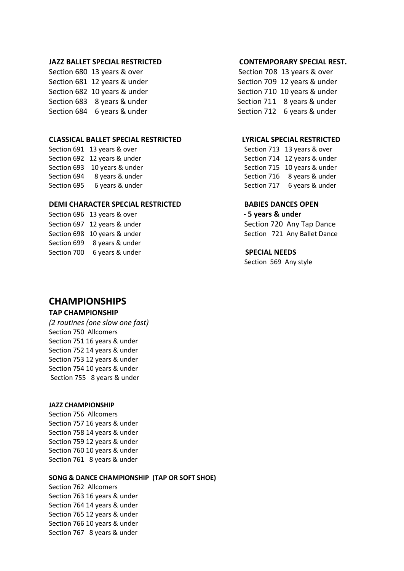# **JAZZ BALLET SPECIAL RESTRICTED CONTEMPORARY SPECIAL REST.**

Section 680 13 years & over Section 708 13 years & over Section 681 12 years & under Section 709 12 years & under Section 682 10 years & under Section 710 10 years & under Section 683 8 years & under Section 711 8 years & under Section 684 6 years & under Section 712 6 years & under

# **CLASSICAL BALLET SPECIAL RESTRICTED LYRICAL SPECIAL RESTRICTED**

Section 691 13 years & over Section 713 13 years & over Section 692 12 years & under Section 714 12 years & under Section 693 10 years & under Section 715 10 years & under Section 694 8 years & under Section 716 8 years & under Section 695 6 years & under Section 717 6 years & under

# **DEMI CHARACTER SPECIAL RESTRICTED BABIES DANCES OPEN**

Section 696 13 years & over **- 5 years & under** Section 697 12 years & under Section 720 Any Tap Dance Section 699 8 years & under Section 700 6 years & under **SPECIAL NEEDS** 

Section 698 10 years & under Section 721 Any Ballet Dance

Section 569 Any style

# **CHAMPIONSHIPS**

# **TAP CHAMPIONSHIP**

*(2 routines (one slow one fast)* Section 750 Allcomers Section 751 16 years & under Section 752 14 years & under Section 753 12 years & under Section 754 10 years & under Section 755 8 years & under

# **JAZZ CHAMPIONSHIP**

Section 756 Allcomers Section 757 16 years & under Section 758 14 years & under Section 759 12 years & under Section 760 10 years & under Section 761 8 years & under

# **SONG & DANCE CHAMPIONSHIP (TAP OR SOFT SHOE)**

Section 762 Allcomers Section 763 16 years & under Section 764 14 years & under Section 765 12 years & under Section 766 10 years & under Section 767 8 years & under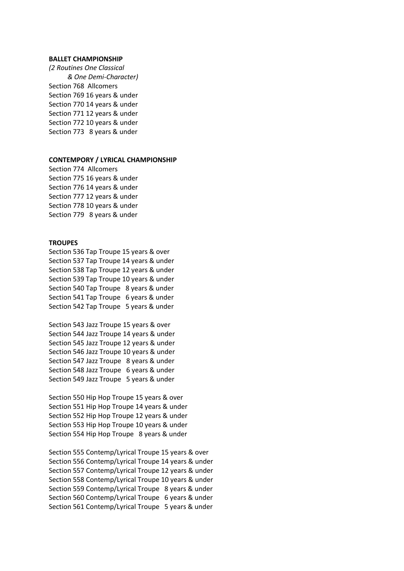### **BALLET CHAMPIONSHIP**

*(2 Routines One Classical & One Demi-Character)* Section 768 Allcomers Section 769 16 years & under Section 770 14 years & under Section 771 12 years & under Section 772 10 years & under Section 773 8 years & under

# **CONTEMPORY / LYRICAL CHAMPIONSHIP**

Section 774 Allcomers Section 775 16 years & under Section 776 14 years & under Section 777 12 years & under Section 778 10 years & under Section 779 8 years & under

# **TROUPES**

Section 536 Tap Troupe 15 years & over Section 537 Tap Troupe 14 years & under Section 538 Tap Troupe 12 years & under Section 539 Tap Troupe 10 years & under Section 540 Tap Troupe 8 years & under Section 541 Tap Troupe 6 years & under Section 542 Tap Troupe 5 years & under

Section 543 Jazz Troupe 15 years & over Section 544 Jazz Troupe 14 years & under Section 545 Jazz Troupe 12 years & under Section 546 Jazz Troupe 10 years & under Section 547 Jazz Troupe 8 years & under Section 548 Jazz Troupe 6 years & under Section 549 Jazz Troupe 5 years & under

Section 550 Hip Hop Troupe 15 years & over Section 551 Hip Hop Troupe 14 years & under Section 552 Hip Hop Troupe 12 years & under Section 553 Hip Hop Troupe 10 years & under Section 554 Hip Hop Troupe 8 years & under

Section 555 Contemp/Lyrical Troupe 15 years & over Section 556 Contemp/Lyrical Troupe 14 years & under Section 557 Contemp/Lyrical Troupe 12 years & under Section 558 Contemp/Lyrical Troupe 10 years & under Section 559 Contemp/Lyrical Troupe 8 years & under Section 560 Contemp/Lyrical Troupe 6 years & under Section 561 Contemp/Lyrical Troupe 5 years & under